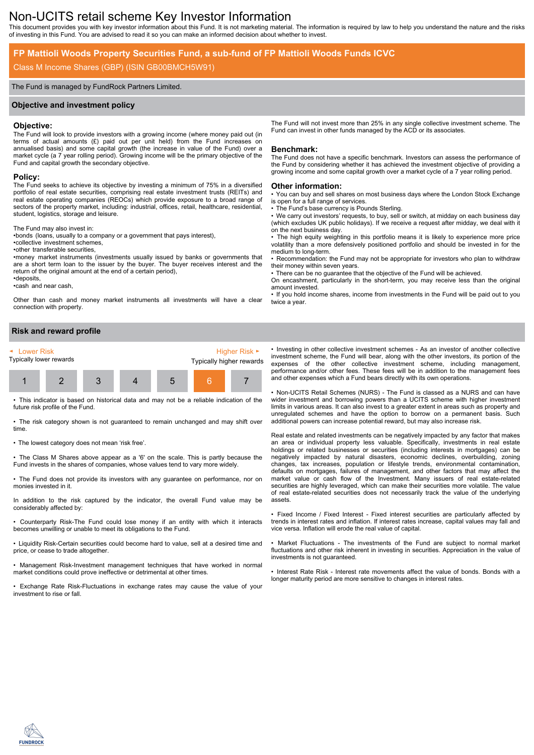# Non-UCITS retail scheme Key Investor Information

This document provides you with key investor information about this Fund. It is not marketing material. The information is required by law to help you understand the nature and the risks of investing in this Fund. You are advised to read it so you can make an informed decision about whether to invest.

# **FP Mattioli Woods Property Securities Fund, a sub-fund of FP Mattioli Woods Funds ICVC**

# Class M Income Shares (GBP) (ISIN GB00BMCH5W91)

#### The Fund is managed by FundRock Partners Limited.

#### **Objective and investment policy**

#### **Objective:**

The Fund will look to provide investors with a growing income (where money paid out (in terms of actual amounts (£) paid out per unit held) from the Fund increases on annualised basis) and some capital growth (the increase in value of the Fund) over a market cycle (a  $7$  year rolling period). Growing income will be the primary objective of the Fund and capital growth the secondary objective.

# **Policy:**

The Fund seeks to achieve its objective by investing a minimum of 75% in a diversified portfolio of real estate securities, comprising real estate investment trusts (REITs) and real estate operating companies (REOCs) which provide exposure to a broad range of sectors of the property market, including: industrial, offices, retail, healthcare, residential, student, logistics, storage and leisure.

The Fund may also invest in:

•bonds (loans, usually to a company or a government that pays interest),

•collective investment schemes,

•other transferable securities,

•money market instruments (investments usually issued by banks or governments that are a short term loan to the issuer by the buyer. The buyer receives interest and the return of the original amount at the end of a certain period), •deposits,

•cash and near cash,

Other than cash and money market instruments all investments will have a clear connection with property.

**Risk and reward profile**



• This indicator is based on historical data and may not be a reliable indication of the future risk profile of the Fund.

• The risk category shown is not guaranteed to remain unchanged and may shift over time.

• The lowest category does not mean 'risk free'.

• The Class M Shares above appear as a '6' on the scale. This is partly because the Fund invests in the shares of companies, whose values tend to vary more widely.

• The Fund does not provide its investors with any guarantee on performance, nor on monies invested in it.

In addition to the risk captured by the indicator, the overall Fund value may be considerably affected by:

• Counterparty Risk-The Fund could lose money if an entity with which it interacts becomes unwilling or unable to meet its obligations to the Fund.

• Liquidity Risk-Certain securities could become hard to value, sell at a desired time and price, or cease to trade altogether.

• Management Risk-Investment management techniques that have worked in normal market conditions could prove ineffective or detrimental at other times.

• Exchange Rate Risk-Fluctuations in exchange rates may cause the value of your investment to rise or fall.

The Fund will not invest more than 25% in any single collective investment scheme. The Fund can invest in other funds managed by the ACD or its associates.

#### **Benchmark:**

The Fund does not have a specific benchmark. Investors can assess the performance of the Fund by considering whether it has achieved the investment objective of providing a growing income and some capital growth over a market cycle of a 7 year rolling period.

#### **Other information:**

• You can buy and sell shares on most business days where the London Stock Exchange is open for a full range of services.

The Fund's base currency is Pounds Sterling.

• We carry out investors' requests, to buy, sell or switch, at midday on each business day (which excludes UK public holidays). If we receive a request after midday, we deal with it on the next business day.

• The high equity weighting in this portfolio means it is likely to experience more price volatility than a more defensively positioned portfolio and should be invested in for the medium to long-term.

• Recommendation: the Fund may not be appropriate for investors who plan to withdraw their money within seven years.

There can be no guarantee that the objective of the Fund will be achieved.

On encashment, particularly in the short-term, you may receive less than the original amount invested.

• If you hold income shares, income from investments in the Fund will be paid out to you twice a year.

• Investing in other collective investment schemes - As an investor of another collective investment scheme, the Fund will bear, along with the other investors, its portion of the expenses of the other collective investment scheme, including management, performance and/or other fees. These fees will be in addition to the management fees and other expenses which a Fund bears directly with its own operations.

• Non-UCITS Retail Schemes (NURS) - The Fund is classed as a NURS and can have wider investment and borrowing powers than a UCITS scheme with higher investment limits in various areas. It can also invest to a greater extent in areas such as property and unregulated schemes and have the option to borrow on a permanent basis. Such additional powers can increase potential reward, but may also increase risk.

Real estate and related investments can be negatively impacted by any factor that makes an area or individual property less valuable. Specifically, investments in real estate holdings or related businesses or securities (including interests in mortgages) can be negatively impacted by natural disasters, economic declines, overbuilding, zoning changes, tax increases, population or lifestyle trends, environmental contamination, defaults on mortgages, failures of management, and other factors that may affect the market value or cash flow of the Investment. Many issuers of real estate-related securities are highly leveraged, which can make their securities more volatile. The value of real estate-related securities does not necessarily track the value of the underlying assets.

• Fixed Income / Fixed Interest - Fixed interest securities are particularly affected by trends in interest rates and inflation. If interest rates increase, capital values may fall and vice versa. Inflation will erode the real value of capital.

• Market Fluctuations - The investments of the Fund are subject to normal market fluctuations and other risk inherent in investing in securities. Appreciation in the value of investments is not guaranteed.

• Interest Rate Risk - Interest rate movements affect the value of bonds. Bonds with a longer maturity period are more sensitive to changes in interest rates.